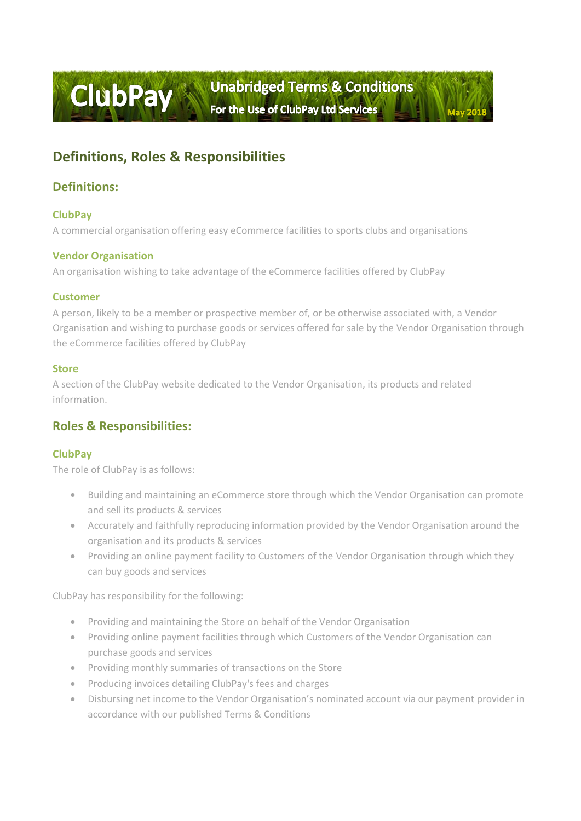# **Definitions, Roles & Responsibilities**

# **Definitions:**

## **ClubPay**

A commercial organisation offering easy eCommerce facilities to sports clubs and organisations

## **Vendor Organisation**

An organisation wishing to take advantage of the eCommerce facilities offered by ClubPay

### **Customer**

A person, likely to be a member or prospective member of, or be otherwise associated with, a Vendor Organisation and wishing to purchase goods or services offered for sale by the Vendor Organisation through the eCommerce facilities offered by ClubPay

### **Store**

A section of the ClubPay website dedicated to the Vendor Organisation, its products and related information.

# **Roles & Responsibilities:**

## **ClubPay**

The role of ClubPay is as follows:

- Building and maintaining an eCommerce store through which the Vendor Organisation can promote and sell its products & services
- Accurately and faithfully reproducing information provided by the Vendor Organisation around the organisation and its products & services
- Providing an online payment facility to Customers of the Vendor Organisation through which they can buy goods and services

ClubPay has responsibility for the following:

- Providing and maintaining the Store on behalf of the Vendor Organisation
- Providing online payment facilities through which Customers of the Vendor Organisation can purchase goods and services
- Providing monthly summaries of transactions on the Store
- Producing invoices detailing ClubPay's fees and charges
- Disbursing net income to the Vendor Organisation's nominated account via our payment provider in accordance with our published Terms & Conditions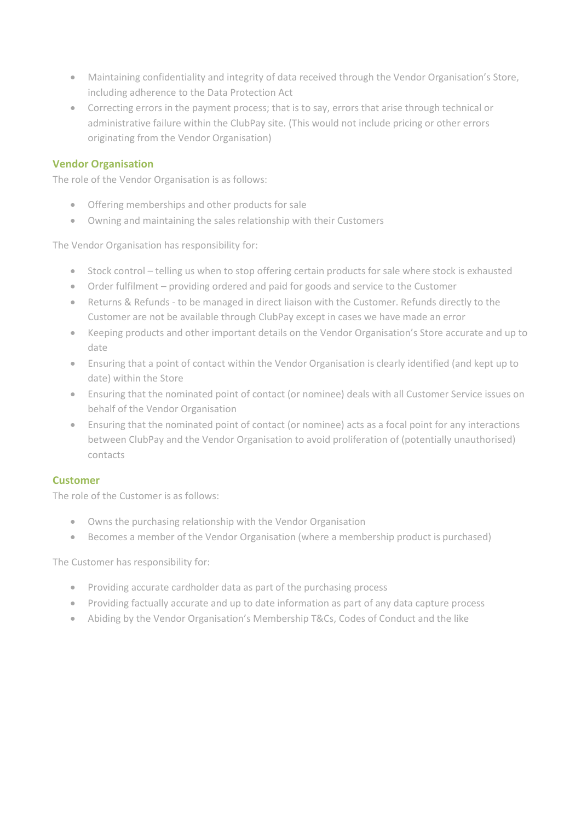- Maintaining confidentiality and integrity of data received through the Vendor Organisation's Store, including adherence to the Data Protection Act
- Correcting errors in the payment process; that is to say, errors that arise through technical or administrative failure within the ClubPay site. (This would not include pricing or other errors originating from the Vendor Organisation)

### **Vendor Organisation**

The role of the Vendor Organisation is as follows:

- Offering memberships and other products for sale
- Owning and maintaining the sales relationship with their Customers

The Vendor Organisation has responsibility for:

- Stock control telling us when to stop offering certain products for sale where stock is exhausted
- Order fulfilment providing ordered and paid for goods and service to the Customer
- Returns & Refunds to be managed in direct liaison with the Customer. Refunds directly to the Customer are not be available through ClubPay except in cases we have made an error
- Keeping products and other important details on the Vendor Organisation's Store accurate and up to date
- Ensuring that a point of contact within the Vendor Organisation is clearly identified (and kept up to date) within the Store
- Ensuring that the nominated point of contact (or nominee) deals with all Customer Service issues on behalf of the Vendor Organisation
- Ensuring that the nominated point of contact (or nominee) acts as a focal point for any interactions between ClubPay and the Vendor Organisation to avoid proliferation of (potentially unauthorised) contacts

### **Customer**

The role of the Customer is as follows:

- Owns the purchasing relationship with the Vendor Organisation
- Becomes a member of the Vendor Organisation (where a membership product is purchased)

The Customer has responsibility for:

- Providing accurate cardholder data as part of the purchasing process
- Providing factually accurate and up to date information as part of any data capture process
- Abiding by the Vendor Organisation's Membership T&Cs, Codes of Conduct and the like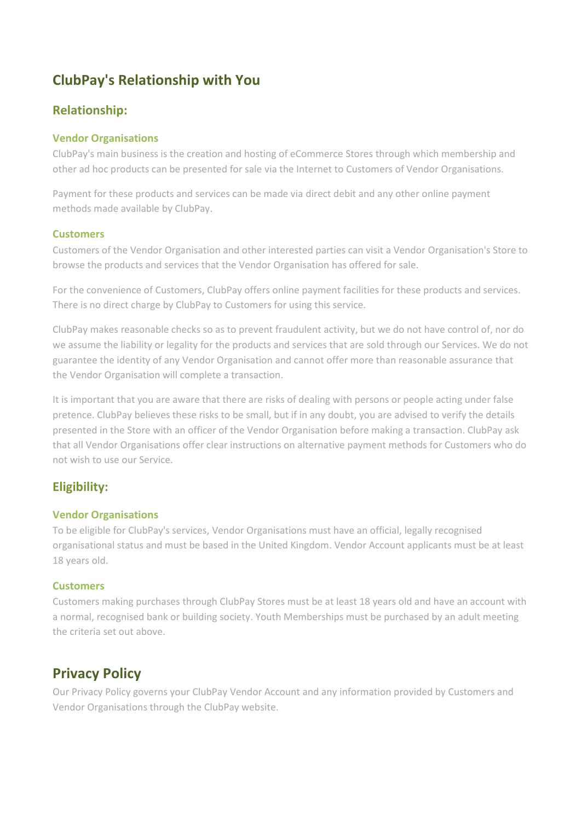# **ClubPay's Relationship with You**

# **Relationship:**

## **Vendor Organisations**

ClubPay's main business is the creation and hosting of eCommerce Stores through which membership and other ad hoc products can be presented for sale via the Internet to Customers of Vendor Organisations.

Payment for these products and services can be made via direct debit and any other online payment methods made available by ClubPay.

### **Customers**

Customers of the Vendor Organisation and other interested parties can visit a Vendor Organisation's Store to browse the products and services that the Vendor Organisation has offered for sale.

For the convenience of Customers, ClubPay offers online payment facilities for these products and services. There is no direct charge by ClubPay to Customers for using this service.

ClubPay makes reasonable checks so as to prevent fraudulent activity, but we do not have control of, nor do we assume the liability or legality for the products and services that are sold through our Services. We do not guarantee the identity of any Vendor Organisation and cannot offer more than reasonable assurance that the Vendor Organisation will complete a transaction.

It is important that you are aware that there are risks of dealing with persons or people acting under false pretence. ClubPay believes these risks to be small, but if in any doubt, you are advised to verify the details presented in the Store with an officer of the Vendor Organisation before making a transaction. ClubPay ask that all Vendor Organisations offer clear instructions on alternative payment methods for Customers who do not wish to use our Service.

# **Eligibility:**

### **Vendor Organisations**

To be eligible for ClubPay's services, Vendor Organisations must have an official, legally recognised organisational status and must be based in the United Kingdom. Vendor Account applicants must be at least 18 years old.

### **Customers**

Customers making purchases through ClubPay Stores must be at least 18 years old and have an account with a normal, recognised bank or building society. Youth Memberships must be purchased by an adult meeting the criteria set out above.

# **Privacy Policy**

Our Privacy Policy governs your ClubPay Vendor Account and any information provided by Customers and Vendor Organisations through the ClubPay website.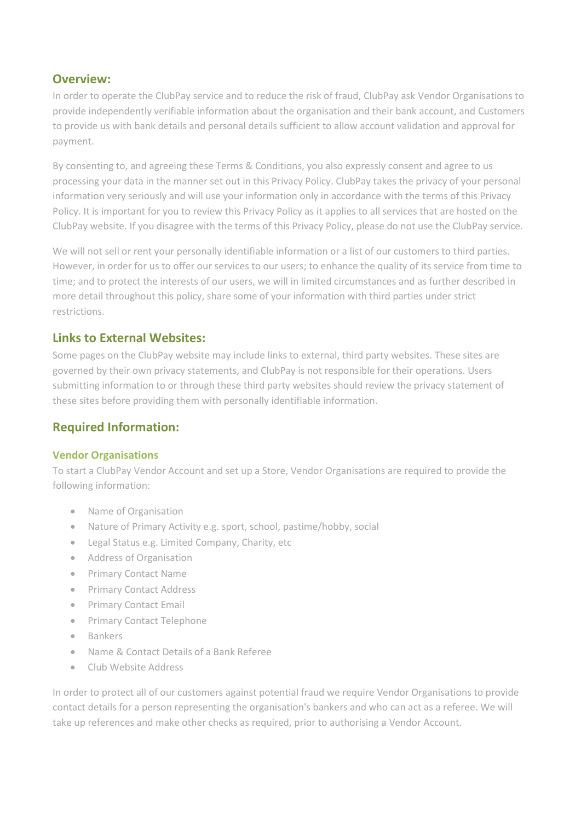# **Overview:**

In order to operate the ClubPay service and to reduce the risk of fraud, ClubPay ask Vendor Organisations to provide independently verifiable information about the organisation and their bank account, and Customers to provide us with bank details and personal details sufficient to allow account validation and approval for payment.

By consenting to, and agreeing these Terms & Conditions, you also expressly consent and agree to us processing your data in the manner set out in this Privacy Policy. ClubPay takes the privacy of your personal information very seriously and will use your information only in accordance with the terms of this Privacy Policy. It is important for you to review this Privacy Policy as it applies to all services that are hosted on the ClubPay website. If you disagree with the terms of this Privacy Policy, please do not use the ClubPay service.

We will not sell or rent your personally identifiable information or a list of our customers to third parties. However, in order for us to offer our services to our users; to enhance the quality of its service from time to time; and to protect the interests of our users, we will in limited circumstances and as further described in more detail throughout this policy, share some of your information with third parties under strict restrictions.

# **Links to External Websites:**

Some pages on the ClubPay website may include links to external, third party websites. These sites are governed by their own privacy statements, and ClubPay is not responsible for their operations. Users submitting information to or through these third party websites should review the privacy statement of these sites before providing them with personally identifiable information.

# **Required Information:**

### **Vendor Organisations**

To start a ClubPay Vendor Account and set up a Store, Vendor Organisations are required to provide the following information:

- Name of Organisation
- Nature of Primary Activity e.g. sport, school, pastime/hobby, social
- Legal Status e.g. Limited Company, Charity, etc
- Address of Organisation
- Primary Contact Name
- Primary Contact Address
- Primary Contact Email
- Primary Contact Telephone
- Bankers
- Name & Contact Details of a Bank Referee
- Club Website Address

In order to protect all of our customers against potential fraud we require Vendor Organisations to provide contact details for a person representing the organisation's bankers and who can act as a referee. We will take up references and make other checks as required, prior to authorising a Vendor Account.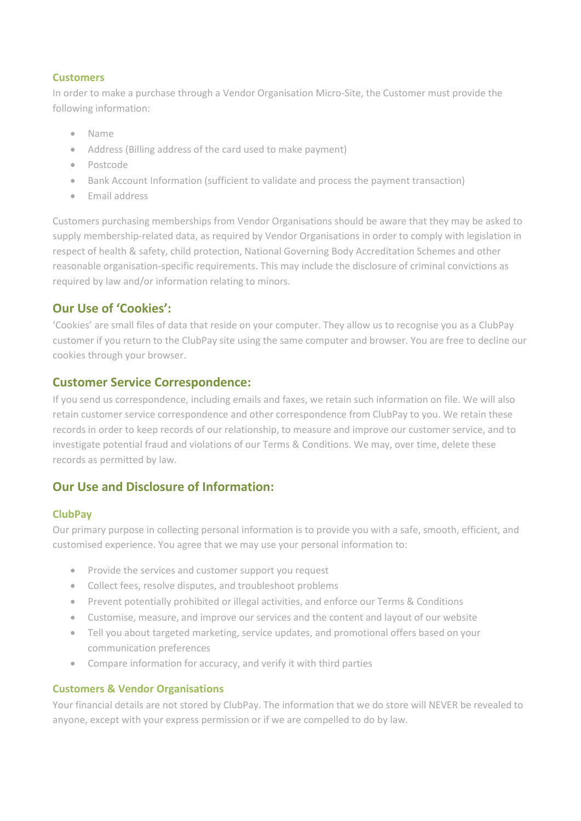### **Customers**

In order to make a purchase through a Vendor Organisation Micro-Site, the Customer must provide the following information:

- Name
- Address (Billing address of the card used to make payment)
- Postcode
- Bank Account Information (sufficient to validate and process the payment transaction)
- Email address

Customers purchasing memberships from Vendor Organisations should be aware that they may be asked to supply membership-related data, as required by Vendor Organisations in order to comply with legislation in respect of health & safety, child protection, National Governing Body Accreditation Schemes and other reasonable organisation-specific requirements. This may include the disclosure of criminal convictions as required by law and/or information relating to minors.

# **Our Use of 'Cookies':**

'Cookies' are small files of data that reside on your computer. They allow us to recognise you as a ClubPay customer if you return to the ClubPay site using the same computer and browser. You are free to decline our cookies through your browser.

## **Customer Service Correspondence:**

If you send us correspondence, including emails and faxes, we retain such information on file. We will also retain customer service correspondence and other correspondence from ClubPay to you. We retain these records in order to keep records of our relationship, to measure and improve our customer service, and to investigate potential fraud and violations of our Terms & Conditions. We may, over time, delete these records as permitted by law.

# **Our Use and Disclosure of Information:**

## **ClubPay**

Our primary purpose in collecting personal information is to provide you with a safe, smooth, efficient, and customised experience. You agree that we may use your personal information to:

- Provide the services and customer support you request
- Collect fees, resolve disputes, and troubleshoot problems
- Prevent potentially prohibited or illegal activities, and enforce our Terms & Conditions
- Customise, measure, and improve our services and the content and layout of our website
- Tell you about targeted marketing, service updates, and promotional offers based on your communication preferences
- Compare information for accuracy, and verify it with third parties

### **Customers & Vendor Organisations**

Your financial details are not stored by ClubPay. The information that we do store will NEVER be revealed to anyone, except with your express permission or if we are compelled to do by law.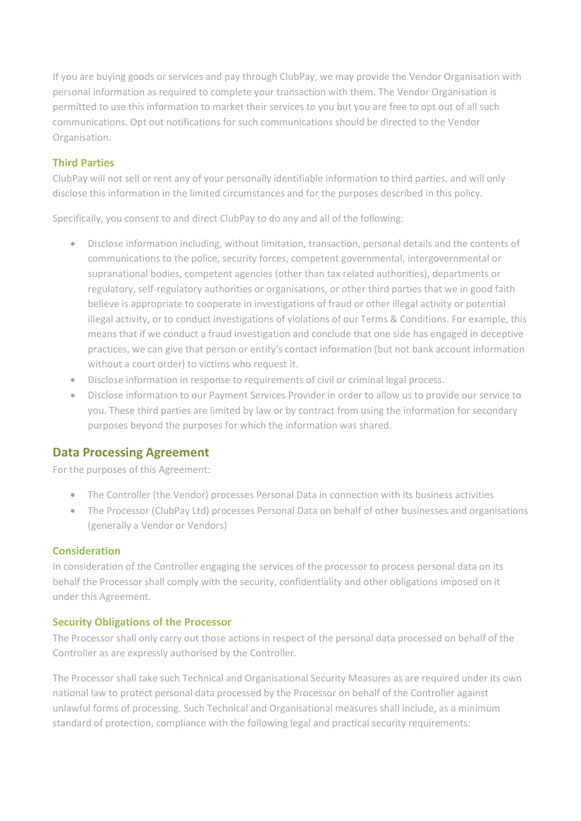If you are buying goods or services and pay through ClubPay, we may provide the Vendor Organisation with personal information as required to complete your transaction with them. The Vendor Organisation is permitted to use this information to market their services to you but you are free to opt out of all such communications. Opt out notifications for such communications should be directed to the Vendor Organisation.

## **Third Parties**

ClubPay will not sell or rent any of your personally identifiable information to third parties, and will only disclose this information in the limited circumstances and for the purposes described in this policy.

Specifically, you consent to and direct ClubPay to do any and all of the following:

- Disclose information including, without limitation, transaction, personal details and the contents of communications to the police, security forces, competent governmental, intergovernmental or supranational bodies, competent agencies (other than tax related authorities), departments or regulatory, self-regulatory authorities or organisations, or other third parties that we in good faith believe is appropriate to cooperate in investigations of fraud or other illegal activity or potential illegal activity, or to conduct investigations of violations of our Terms & Conditions. For example, this means that if we conduct a fraud investigation and conclude that one side has engaged in deceptive practices, we can give that person or entity's contact information (but not bank account information without a court order) to victims who request it.
- Disclose information in response to requirements of civil or criminal legal process.
- Disclose information to our Payment Services Provider in order to allow us to provide our service to you. These third parties are limited by law or by contract from using the information for secondary purposes beyond the purposes for which the information was shared.

# **Data Processing Agreement**

For the purposes of this Agreement:

- The Controller (the Vendor) processes Personal Data in connection with its business activities
- The Processor (ClubPay Ltd) processes Personal Data on behalf of other businesses and organisations (generally a Vendor or Vendors)

## **Consideration**

In consideration of the Controller engaging the services of the processor to process personal data on its behalf the Processor shall comply with the security, confidentiality and other obligations imposed on it under this Agreement.

## **Security Obligations of the Processor**

The Processor shall only carry out those actions in respect of the personal data processed on behalf of the Controller as are expressly authorised by the Controller.

The Processor shall take such Technical and Organisational Security Measures as are required under its own national law to protect personal data processed by the Processor on behalf of the Controller against unlawful forms of processing. Such Technical and Organisational measures shall include, as a minimum standard of protection, compliance with the following legal and practical security requirements: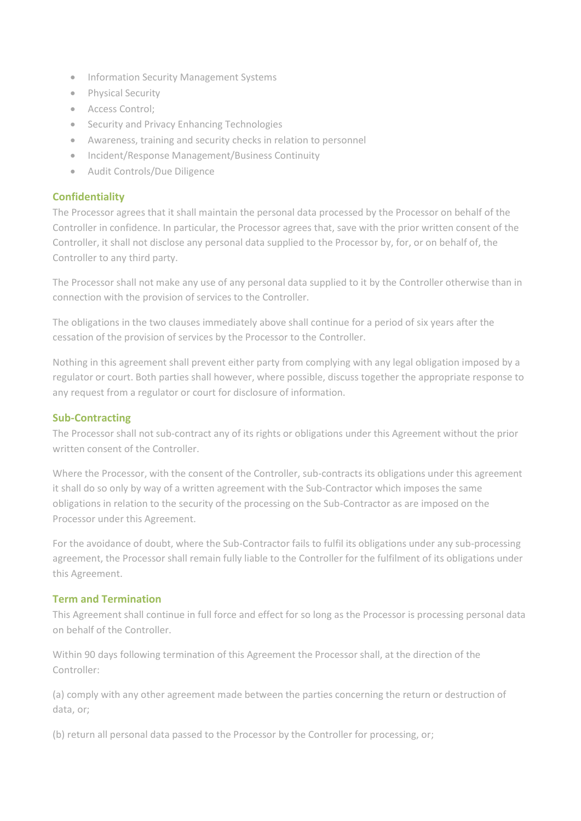- Information Security Management Systems
- Physical Security
- Access Control;
- Security and Privacy Enhancing Technologies
- Awareness, training and security checks in relation to personnel
- Incident/Response Management/Business Continuity
- Audit Controls/Due Diligence

## **Confidentiality**

The Processor agrees that it shall maintain the personal data processed by the Processor on behalf of the Controller in confidence. In particular, the Processor agrees that, save with the prior written consent of the Controller, it shall not disclose any personal data supplied to the Processor by, for, or on behalf of, the Controller to any third party.

The Processor shall not make any use of any personal data supplied to it by the Controller otherwise than in connection with the provision of services to the Controller.

The obligations in the two clauses immediately above shall continue for a period of six years after the cessation of the provision of services by the Processor to the Controller.

Nothing in this agreement shall prevent either party from complying with any legal obligation imposed by a regulator or court. Both parties shall however, where possible, discuss together the appropriate response to any request from a regulator or court for disclosure of information.

### **Sub-Contracting**

The Processor shall not sub-contract any of its rights or obligations under this Agreement without the prior written consent of the Controller.

Where the Processor, with the consent of the Controller, sub-contracts its obligations under this agreement it shall do so only by way of a written agreement with the Sub-Contractor which imposes the same obligations in relation to the security of the processing on the Sub-Contractor as are imposed on the Processor under this Agreement.

For the avoidance of doubt, where the Sub-Contractor fails to fulfil its obligations under any sub-processing agreement, the Processor shall remain fully liable to the Controller for the fulfilment of its obligations under this Agreement.

### **Term and Termination**

This Agreement shall continue in full force and effect for so long as the Processor is processing personal data on behalf of the Controller.

Within 90 days following termination of this Agreement the Processor shall, at the direction of the Controller:

(a) comply with any other agreement made between the parties concerning the return or destruction of data, or;

(b) return all personal data passed to the Processor by the Controller for processing, or;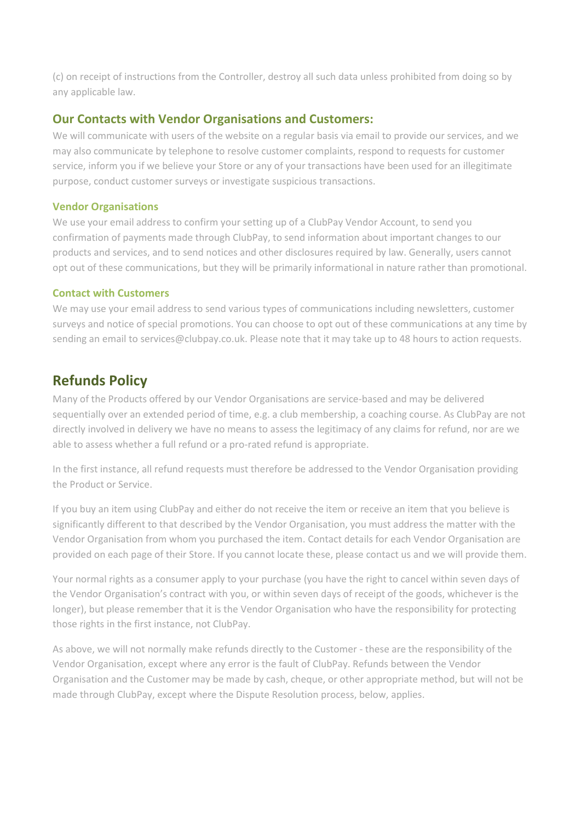(c) on receipt of instructions from the Controller, destroy all such data unless prohibited from doing so by any applicable law.

# **Our Contacts with Vendor Organisations and Customers:**

We will communicate with users of the website on a regular basis via email to provide our services, and we may also communicate by telephone to resolve customer complaints, respond to requests for customer service, inform you if we believe your Store or any of your transactions have been used for an illegitimate purpose, conduct customer surveys or investigate suspicious transactions.

#### **Vendor Organisations**

We use your email address to confirm your setting up of a ClubPay Vendor Account, to send you confirmation of payments made through ClubPay, to send information about important changes to our products and services, and to send notices and other disclosures required by law. Generally, users cannot opt out of these communications, but they will be primarily informational in nature rather than promotional.

### **Contact with Customers**

We may use your email address to send various types of communications including newsletters, customer surveys and notice of special promotions. You can choose to opt out of these communications at any time by sending an email to services@clubpay.co.uk. Please note that it may take up to 48 hours to action requests.

# **Refunds Policy**

Many of the Products offered by our Vendor Organisations are service-based and may be delivered sequentially over an extended period of time, e.g. a club membership, a coaching course. As ClubPay are not directly involved in delivery we have no means to assess the legitimacy of any claims for refund, nor are we able to assess whether a full refund or a pro-rated refund is appropriate.

In the first instance, all refund requests must therefore be addressed to the Vendor Organisation providing the Product or Service.

If you buy an item using ClubPay and either do not receive the item or receive an item that you believe is significantly different to that described by the Vendor Organisation, you must address the matter with the Vendor Organisation from whom you purchased the item. Contact details for each Vendor Organisation are provided on each page of their Store. If you cannot locate these, please contact us and we will provide them.

Your normal rights as a consumer apply to your purchase (you have the right to cancel within seven days of the Vendor Organisation's contract with you, or within seven days of receipt of the goods, whichever is the longer), but please remember that it is the Vendor Organisation who have the responsibility for protecting those rights in the first instance, not ClubPay.

As above, we will not normally make refunds directly to the Customer - these are the responsibility of the Vendor Organisation, except where any error is the fault of ClubPay. Refunds between the Vendor Organisation and the Customer may be made by cash, cheque, or other appropriate method, but will not be made through ClubPay, except where the Dispute Resolution process, below, applies.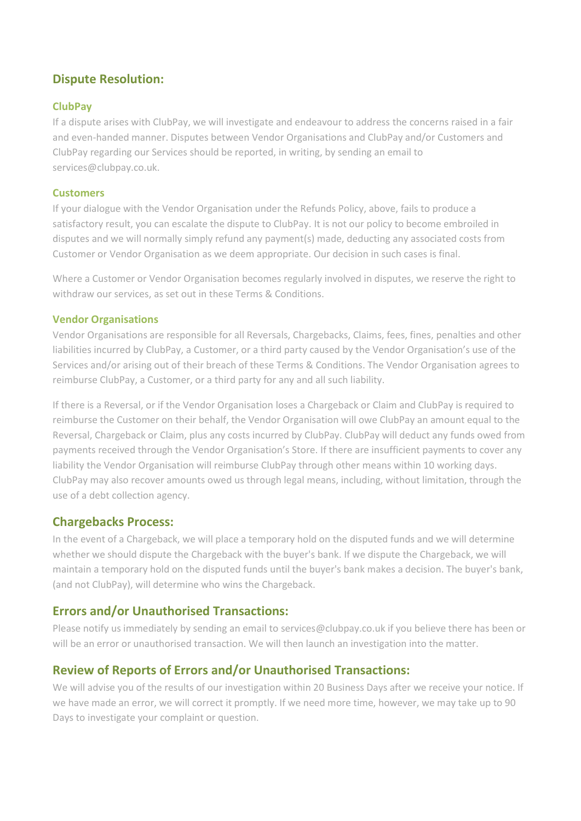# **Dispute Resolution:**

### **ClubPay**

If a dispute arises with ClubPay, we will investigate and endeavour to address the concerns raised in a fair and even-handed manner. Disputes between Vendor Organisations and ClubPay and/or Customers and ClubPay regarding our Services should be reported, in writing, by sending an email to services@clubpay.co.uk.

### **Customers**

If your dialogue with the Vendor Organisation under the Refunds Policy, above, fails to produce a satisfactory result, you can escalate the dispute to ClubPay. It is not our policy to become embroiled in disputes and we will normally simply refund any payment(s) made, deducting any associated costs from Customer or Vendor Organisation as we deem appropriate. Our decision in such cases is final.

Where a Customer or Vendor Organisation becomes regularly involved in disputes, we reserve the right to withdraw our services, as set out in these Terms & Conditions.

### **Vendor Organisations**

Vendor Organisations are responsible for all Reversals, Chargebacks, Claims, fees, fines, penalties and other liabilities incurred by ClubPay, a Customer, or a third party caused by the Vendor Organisation's use of the Services and/or arising out of their breach of these Terms & Conditions. The Vendor Organisation agrees to reimburse ClubPay, a Customer, or a third party for any and all such liability.

If there is a Reversal, or if the Vendor Organisation loses a Chargeback or Claim and ClubPay is required to reimburse the Customer on their behalf, the Vendor Organisation will owe ClubPay an amount equal to the Reversal, Chargeback or Claim, plus any costs incurred by ClubPay. ClubPay will deduct any funds owed from payments received through the Vendor Organisation's Store. If there are insufficient payments to cover any liability the Vendor Organisation will reimburse ClubPay through other means within 10 working days. ClubPay may also recover amounts owed us through legal means, including, without limitation, through the use of a debt collection agency.

# **Chargebacks Process:**

In the event of a Chargeback, we will place a temporary hold on the disputed funds and we will determine whether we should dispute the Chargeback with the buyer's bank. If we dispute the Chargeback, we will maintain a temporary hold on the disputed funds until the buyer's bank makes a decision. The buyer's bank, (and not ClubPay), will determine who wins the Chargeback.

# **Errors and/or Unauthorised Transactions:**

Please notify us immediately by sending an email to services@clubpay.co.uk if you believe there has been or will be an error or unauthorised transaction. We will then launch an investigation into the matter.

# **Review of Reports of Errors and/or Unauthorised Transactions:**

We will advise you of the results of our investigation within 20 Business Days after we receive your notice. If we have made an error, we will correct it promptly. If we need more time, however, we may take up to 90 Days to investigate your complaint or question.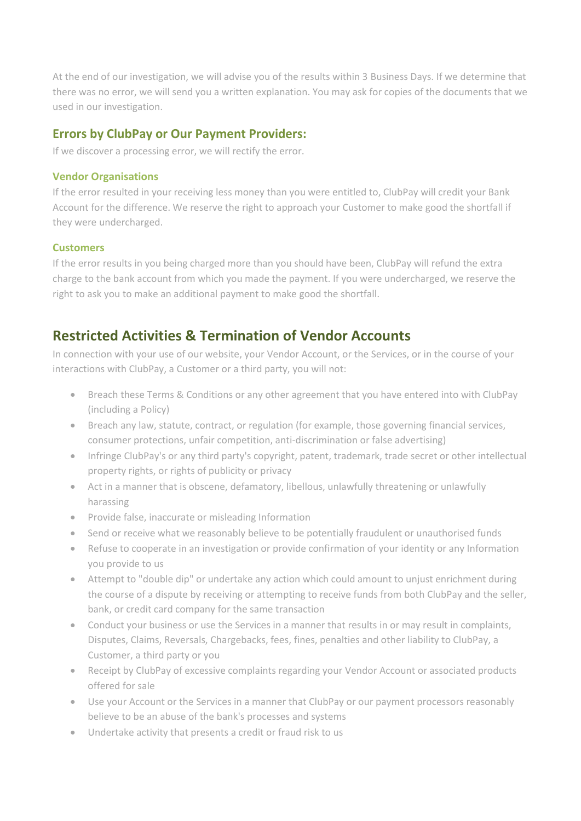At the end of our investigation, we will advise you of the results within 3 Business Days. If we determine that there was no error, we will send you a written explanation. You may ask for copies of the documents that we used in our investigation.

## **Errors by ClubPay or Our Payment Providers:**

If we discover a processing error, we will rectify the error.

#### **Vendor Organisations**

If the error resulted in your receiving less money than you were entitled to, ClubPay will credit your Bank Account for the difference. We reserve the right to approach your Customer to make good the shortfall if they were undercharged.

### **Customers**

If the error results in you being charged more than you should have been, ClubPay will refund the extra charge to the bank account from which you made the payment. If you were undercharged, we reserve the right to ask you to make an additional payment to make good the shortfall.

# **Restricted Activities & Termination of Vendor Accounts**

In connection with your use of our website, your Vendor Account, or the Services, or in the course of your interactions with ClubPay, a Customer or a third party, you will not:

- Breach these Terms & Conditions or any other agreement that you have entered into with ClubPay (including a Policy)
- Breach any law, statute, contract, or regulation (for example, those governing financial services, consumer protections, unfair competition, anti-discrimination or false advertising)
- Infringe ClubPay's or any third party's copyright, patent, trademark, trade secret or other intellectual property rights, or rights of publicity or privacy
- Act in a manner that is obscene, defamatory, libellous, unlawfully threatening or unlawfully harassing
- Provide false, inaccurate or misleading Information
- Send or receive what we reasonably believe to be potentially fraudulent or unauthorised funds
- Refuse to cooperate in an investigation or provide confirmation of your identity or any Information you provide to us
- Attempt to "double dip" or undertake any action which could amount to unjust enrichment during the course of a dispute by receiving or attempting to receive funds from both ClubPay and the seller, bank, or credit card company for the same transaction
- Conduct your business or use the Services in a manner that results in or may result in complaints, Disputes, Claims, Reversals, Chargebacks, fees, fines, penalties and other liability to ClubPay, a Customer, a third party or you
- Receipt by ClubPay of excessive complaints regarding your Vendor Account or associated products offered for sale
- Use your Account or the Services in a manner that ClubPay or our payment processors reasonably believe to be an abuse of the bank's processes and systems
- Undertake activity that presents a credit or fraud risk to us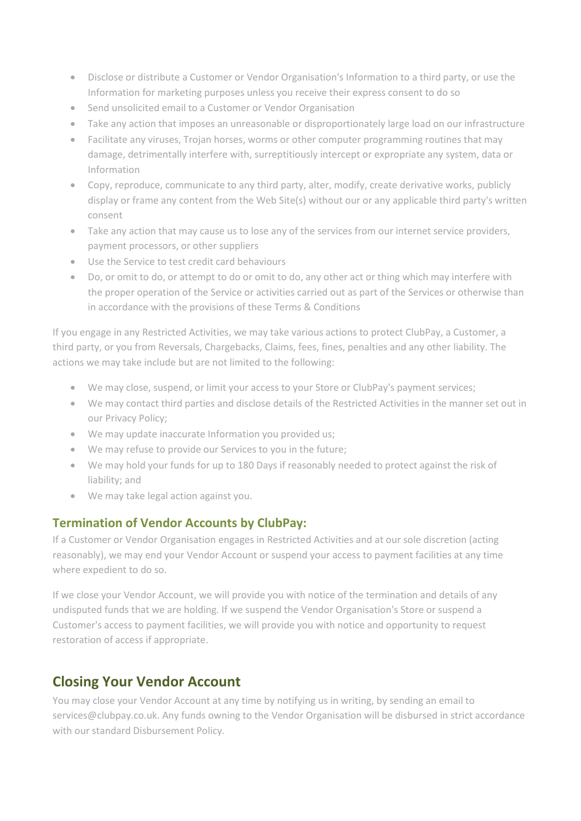- Disclose or distribute a Customer or Vendor Organisation's Information to a third party, or use the Information for marketing purposes unless you receive their express consent to do so
- Send unsolicited email to a Customer or Vendor Organisation
- Take any action that imposes an unreasonable or disproportionately large load on our infrastructure
- Facilitate any viruses, Trojan horses, worms or other computer programming routines that may damage, detrimentally interfere with, surreptitiously intercept or expropriate any system, data or Information
- Copy, reproduce, communicate to any third party, alter, modify, create derivative works, publicly display or frame any content from the Web Site(s) without our or any applicable third party's written consent
- Take any action that may cause us to lose any of the services from our internet service providers, payment processors, or other suppliers
- Use the Service to test credit card behaviours
- Do, or omit to do, or attempt to do or omit to do, any other act or thing which may interfere with the proper operation of the Service or activities carried out as part of the Services or otherwise than in accordance with the provisions of these Terms & Conditions

If you engage in any Restricted Activities, we may take various actions to protect ClubPay, a Customer, a third party, or you from Reversals, Chargebacks, Claims, fees, fines, penalties and any other liability. The actions we may take include but are not limited to the following:

- We may close, suspend, or limit your access to your Store or ClubPay's payment services;
- We may contact third parties and disclose details of the Restricted Activities in the manner set out in our Privacy Policy;
- We may update inaccurate Information you provided us;
- We may refuse to provide our Services to you in the future;
- We may hold your funds for up to 180 Days if reasonably needed to protect against the risk of liability; and
- We may take legal action against you.

# **Termination of Vendor Accounts by ClubPay:**

If a Customer or Vendor Organisation engages in Restricted Activities and at our sole discretion (acting reasonably), we may end your Vendor Account or suspend your access to payment facilities at any time where expedient to do so.

If we close your Vendor Account, we will provide you with notice of the termination and details of any undisputed funds that we are holding. If we suspend the Vendor Organisation's Store or suspend a Customer's access to payment facilities, we will provide you with notice and opportunity to request restoration of access if appropriate.

# **Closing Your Vendor Account**

You may close your Vendor Account at any time by notifying us in writing, by sending an email to services@clubpay.co.uk. Any funds owning to the Vendor Organisation will be disbursed in strict accordance with our standard Disbursement Policy.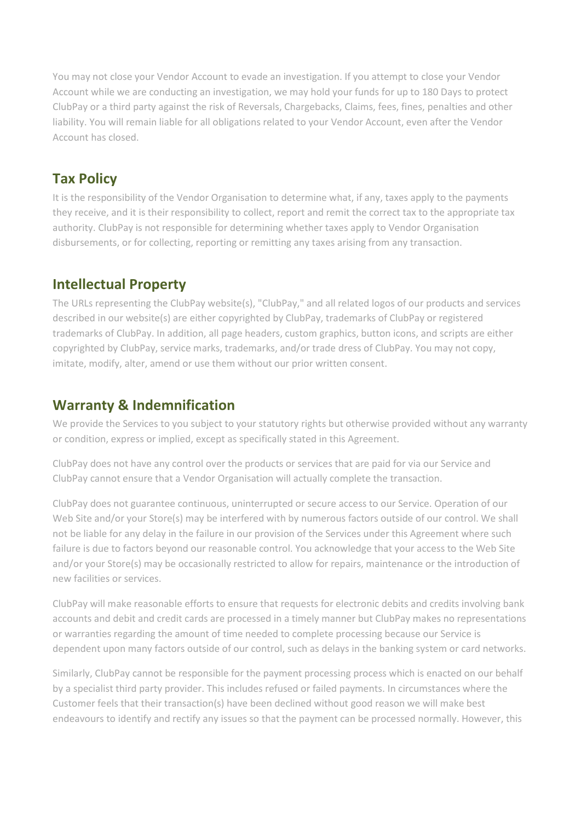You may not close your Vendor Account to evade an investigation. If you attempt to close your Vendor Account while we are conducting an investigation, we may hold your funds for up to 180 Days to protect ClubPay or a third party against the risk of Reversals, Chargebacks, Claims, fees, fines, penalties and other liability. You will remain liable for all obligations related to your Vendor Account, even after the Vendor Account has closed.

# **Tax Policy**

It is the responsibility of the Vendor Organisation to determine what, if any, taxes apply to the payments they receive, and it is their responsibility to collect, report and remit the correct tax to the appropriate tax authority. ClubPay is not responsible for determining whether taxes apply to Vendor Organisation disbursements, or for collecting, reporting or remitting any taxes arising from any transaction.

# **Intellectual Property**

The URLs representing the ClubPay website(s), "ClubPay," and all related logos of our products and services described in our website(s) are either copyrighted by ClubPay, trademarks of ClubPay or registered trademarks of ClubPay. In addition, all page headers, custom graphics, button icons, and scripts are either copyrighted by ClubPay, service marks, trademarks, and/or trade dress of ClubPay. You may not copy, imitate, modify, alter, amend or use them without our prior written consent.

# **Warranty & Indemnification**

We provide the Services to you subject to your statutory rights but otherwise provided without any warranty or condition, express or implied, except as specifically stated in this Agreement.

ClubPay does not have any control over the products or services that are paid for via our Service and ClubPay cannot ensure that a Vendor Organisation will actually complete the transaction.

ClubPay does not guarantee continuous, uninterrupted or secure access to our Service. Operation of our Web Site and/or your Store(s) may be interfered with by numerous factors outside of our control. We shall not be liable for any delay in the failure in our provision of the Services under this Agreement where such failure is due to factors beyond our reasonable control. You acknowledge that your access to the Web Site and/or your Store(s) may be occasionally restricted to allow for repairs, maintenance or the introduction of new facilities or services.

ClubPay will make reasonable efforts to ensure that requests for electronic debits and credits involving bank accounts and debit and credit cards are processed in a timely manner but ClubPay makes no representations or warranties regarding the amount of time needed to complete processing because our Service is dependent upon many factors outside of our control, such as delays in the banking system or card networks.

Similarly, ClubPay cannot be responsible for the payment processing process which is enacted on our behalf by a specialist third party provider. This includes refused or failed payments. In circumstances where the Customer feels that their transaction(s) have been declined without good reason we will make best endeavours to identify and rectify any issues so that the payment can be processed normally. However, this